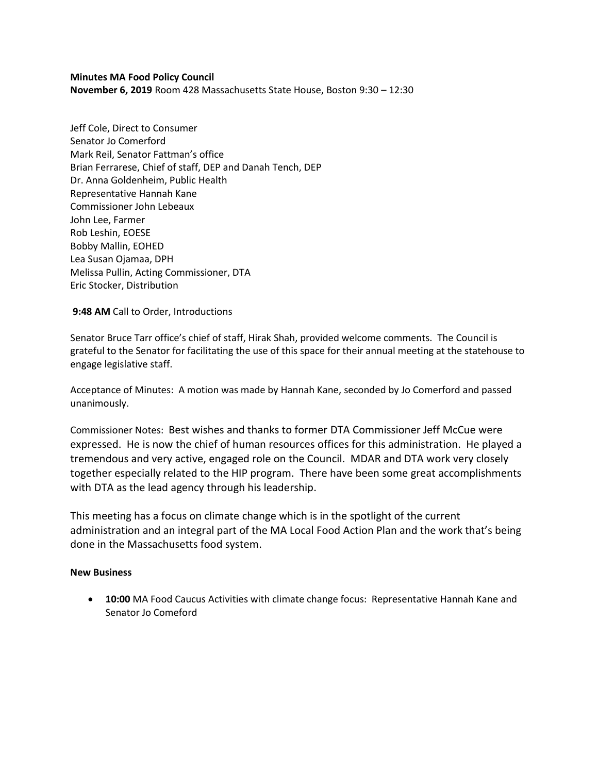### **Minutes MA Food Policy Council**

**November 6, 2019** Room 428 Massachusetts State House, Boston 9:30 – 12:30

Jeff Cole, Direct to Consumer Senator Jo Comerford Mark Reil, Senator Fattman's office Brian Ferrarese, Chief of staff, DEP and Danah Tench, DEP Dr. Anna Goldenheim, Public Health Representative Hannah Kane Commissioner John Lebeaux John Lee, Farmer Rob Leshin, EOESE Bobby Mallin, EOHED Lea Susan Ojamaa, DPH Melissa Pullin, Acting Commissioner, DTA Eric Stocker, Distribution

**9:48 AM** Call to Order, Introductions

Senator Bruce Tarr office's chief of staff, Hirak Shah, provided welcome comments. The Council is grateful to the Senator for facilitating the use of this space for their annual meeting at the statehouse to engage legislative staff.

Acceptance of Minutes: A motion was made by Hannah Kane, seconded by Jo Comerford and passed unanimously.

Commissioner Notes: Best wishes and thanks to former DTA Commissioner Jeff McCue were expressed. He is now the chief of human resources offices for this administration. He played a tremendous and very active, engaged role on the Council. MDAR and DTA work very closely together especially related to the HIP program. There have been some great accomplishments with DTA as the lead agency through his leadership.

This meeting has a focus on climate change which is in the spotlight of the current administration and an integral part of the MA Local Food Action Plan and the work that's being done in the Massachusetts food system.

#### **New Business**

• **10:00** MA Food Caucus Activities with climate change focus: Representative Hannah Kane and Senator Jo Comeford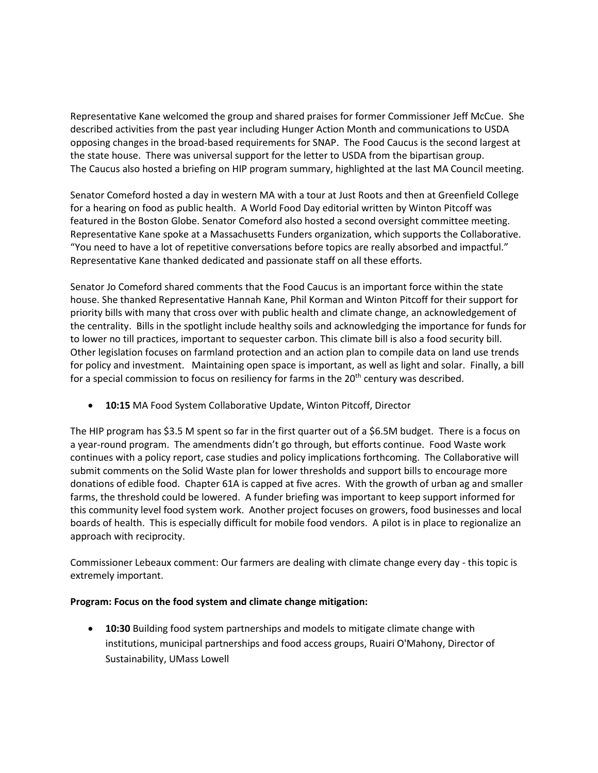Representative Kane welcomed the group and shared praises for former Commissioner Jeff McCue. She described activities from the past year including Hunger Action Month and communications to USDA opposing changes in the broad-based requirements for SNAP. The Food Caucus is the second largest at the state house. There was universal support for the letter to USDA from the bipartisan group. The Caucus also hosted a briefing on HIP program summary, highlighted at the last MA Council meeting.

Senator Comeford hosted a day in western MA with a tour at Just Roots and then at Greenfield College for a hearing on food as public health. A World Food Day editorial written by Winton Pitcoff was featured in the Boston Globe. Senator Comeford also hosted a second oversight committee meeting. Representative Kane spoke at a Massachusetts Funders organization, which supports the Collaborative. "You need to have a lot of repetitive conversations before topics are really absorbed and impactful." Representative Kane thanked dedicated and passionate staff on all these efforts.

Senator Jo Comeford shared comments that the Food Caucus is an important force within the state house. She thanked Representative Hannah Kane, Phil Korman and Winton Pitcoff for their support for priority bills with many that cross over with public health and climate change, an acknowledgement of the centrality. Bills in the spotlight include healthy soils and acknowledging the importance for funds for to lower no till practices, important to sequester carbon. This climate bill is also a food security bill. Other legislation focuses on farmland protection and an action plan to compile data on land use trends for policy and investment. Maintaining open space is important, as well as light and solar. Finally, a bill for a special commission to focus on resiliency for farms in the 20<sup>th</sup> century was described.

• **10:15** MA Food System Collaborative Update, Winton Pitcoff, Director

The HIP program has \$3.5 M spent so far in the first quarter out of a \$6.5M budget. There is a focus on a year-round program. The amendments didn't go through, but efforts continue. Food Waste work continues with a policy report, case studies and policy implications forthcoming. The Collaborative will submit comments on the Solid Waste plan for lower thresholds and support bills to encourage more donations of edible food. Chapter 61A is capped at five acres. With the growth of urban ag and smaller farms, the threshold could be lowered. A funder briefing was important to keep support informed for this community level food system work. Another project focuses on growers, food businesses and local boards of health. This is especially difficult for mobile food vendors. A pilot is in place to regionalize an approach with reciprocity.

Commissioner Lebeaux comment: Our farmers are dealing with climate change every day - this topic is extremely important.

## **Program: Focus on the food system and climate change mitigation:**

• **10:30** Building food system partnerships and models to mitigate climate change with institutions, municipal partnerships and food access groups, Ruairi O'Mahony, Director of Sustainability, UMass Lowell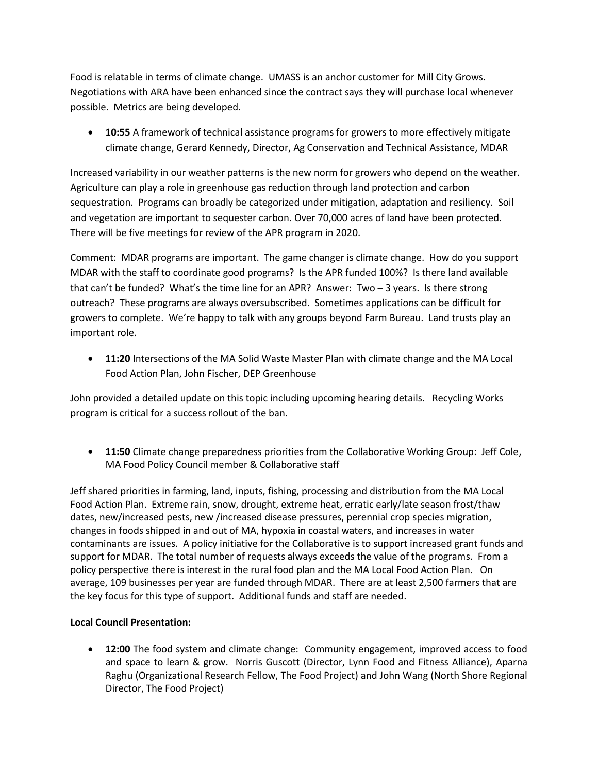Food is relatable in terms of climate change. UMASS is an anchor customer for Mill City Grows. Negotiations with ARA have been enhanced since the contract says they will purchase local whenever possible. Metrics are being developed.

• **10:55** A framework of technical assistance programs for growers to more effectively mitigate climate change, Gerard Kennedy, Director, Ag Conservation and Technical Assistance, MDAR

Increased variability in our weather patterns is the new norm for growers who depend on the weather. Agriculture can play a role in greenhouse gas reduction through land protection and carbon sequestration. Programs can broadly be categorized under mitigation, adaptation and resiliency. Soil and vegetation are important to sequester carbon. Over 70,000 acres of land have been protected. There will be five meetings for review of the APR program in 2020.

Comment: MDAR programs are important. The game changer is climate change. How do you support MDAR with the staff to coordinate good programs? Is the APR funded 100%? Is there land available that can't be funded? What's the time line for an APR? Answer: Two – 3 years. Is there strong outreach? These programs are always oversubscribed. Sometimes applications can be difficult for growers to complete. We're happy to talk with any groups beyond Farm Bureau. Land trusts play an important role.

• **11:20** Intersections of the MA Solid Waste Master Plan with climate change and the MA Local Food Action Plan, John Fischer, DEP Greenhouse

John provided a detailed update on this topic including upcoming hearing details.Recycling Works program is critical for a success rollout of the ban.

• **11:50** Climate change preparedness priorities from the Collaborative Working Group: Jeff Cole, MA Food Policy Council member & Collaborative staff

Jeff shared priorities in farming, land, inputs, fishing, processing and distribution from the MA Local Food Action Plan. Extreme rain, snow, drought, extreme heat, erratic early/late season frost/thaw dates, new/increased pests, new /increased disease pressures, perennial crop species migration, changes in foods shipped in and out of MA, hypoxia in coastal waters, and increases in water contaminants are issues. A policy initiative for the Collaborative is to support increased grant funds and support for MDAR. The total number of requests always exceeds the value of the programs. From a policy perspective there is interest in the rural food plan and the MA Local Food Action Plan. On average, 109 businesses per year are funded through MDAR. There are at least 2,500 farmers that are the key focus for this type of support. Additional funds and staff are needed.

# **Local Council Presentation:**

• **12:00** The food system and climate change: Community engagement, improved access to food and space to learn & grow. Norris Guscott (Director, Lynn Food and Fitness Alliance), Aparna Raghu (Organizational Research Fellow, The Food Project) and John Wang (North Shore Regional Director, The Food Project)